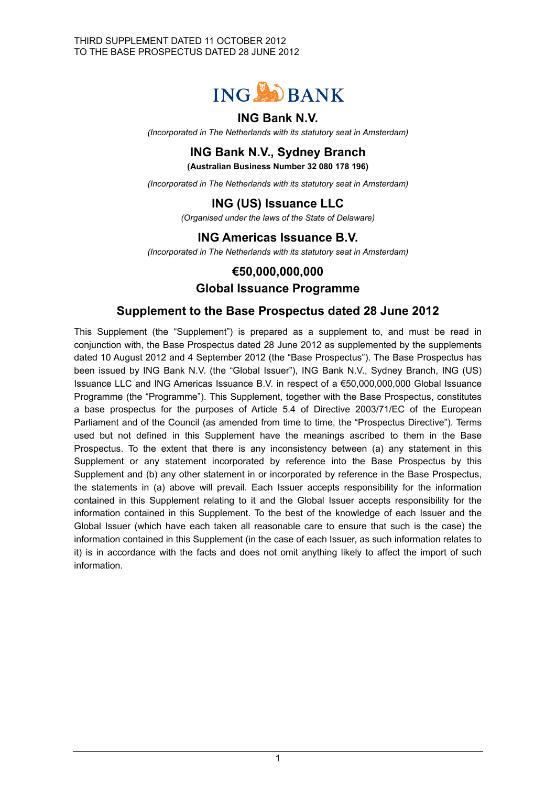

## **ING Bank N.V.**

*(Incorporated in The Netherlands with its statutory seat in Amsterdam)*

# **ING Bank N.V., Sydney Branch**

**(Australian Business Number 32 080 178 196)**

*(Incorporated in The Netherlands with its statutory seat in Amsterdam)*

# **ING (US) Issuance LLC**

*(Organised under the laws of the State of Delaware)*

# **ING Americas Issuance B.V.**

*(Incorporated in The Netherlands with its statutory seat in Amsterdam)*

### **€50,000,000,000**

### **Global Issuance Programme**

### **Supplement to the Base Prospectus dated 28 June 2012**

This Supplement (the "Supplement") is prepared as a supplement to, and must be read in conjunction with, the Base Prospectus dated 28 June 2012 as supplemented by the supplements dated 10 August 2012 and 4 September 2012 (the "Base Prospectus"). The Base Prospectus has been issued by ING Bank N.V. (the "Global Issuer"), ING Bank N.V., Sydney Branch, ING (US) Issuance LLC and ING Americas Issuance B.V. in respect of a €50,000,000,000 Global Issuance Programme (the "Programme"). This Supplement, together with the Base Prospectus, constitutes a base prospectus for the purposes of Article 5.4 of Directive 2003/71/EC of the European Parliament and of the Council (as amended from time to time, the "Prospectus Directive"). Terms used but not defined in this Supplement have the meanings ascribed to them in the Base Prospectus. To the extent that there is any inconsistency between (a) any statement in this Supplement or any statement incorporated by reference into the Base Prospectus by this Supplement and (b) any other statement in or incorporated by reference in the Base Prospectus, the statements in (a) above will prevail. Each Issuer accepts responsibility for the information contained in this Supplement relating to it and the Global Issuer accepts responsibility for the information contained in this Supplement. To the best of the knowledge of each Issuer and the Global Issuer (which have each taken all reasonable care to ensure that such is the case) the information contained in this Supplement (in the case of each Issuer, as such information relates to it) is in accordance with the facts and does not omit anything likely to affect the import of such information.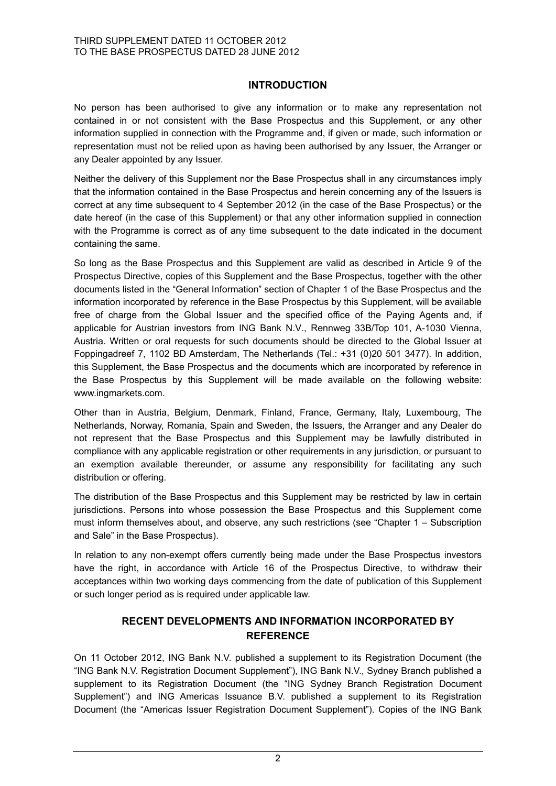### **INTRODUCTION**

No person has been authorised to give any information or to make any representation not contained in or not consistent with the Base Prospectus and this Supplement, or any other information supplied in connection with the Programme and, if given or made, such information or representation must not be relied upon as having been authorised by any Issuer, the Arranger or any Dealer appointed by any Issuer.

Neither the delivery of this Supplement nor the Base Prospectus shall in any circumstances imply that the information contained in the Base Prospectus and herein concerning any of the Issuers is correct at any time subsequent to 4 September 2012 (in the case of the Base Prospectus) or the date hereof (in the case of this Supplement) or that any other information supplied in connection with the Programme is correct as of any time subsequent to the date indicated in the document containing the same.

So long as the Base Prospectus and this Supplement are valid as described in Article 9 of the Prospectus Directive, copies of this Supplement and the Base Prospectus, together with the other documents listed in the "General Information" section of Chapter 1 of the Base Prospectus and the information incorporated by reference in the Base Prospectus by this Supplement, will be available free of charge from the Global Issuer and the specified office of the Paying Agents and, if applicable for Austrian investors from ING Bank N.V., Rennweg 33B/Top 101, A-1030 Vienna, Austria. Written or oral requests for such documents should be directed to the Global Issuer at Foppingadreef 7, 1102 BD Amsterdam, The Netherlands (Tel.: +31 (0)20 501 3477). In addition, this Supplement, the Base Prospectus and the documents which are incorporated by reference in the Base Prospectus by this Supplement will be made available on the following website: www.ingmarkets.com.

Other than in Austria, Belgium, Denmark, Finland, France, Germany, Italy, Luxembourg, The Netherlands, Norway, Romania, Spain and Sweden, the Issuers, the Arranger and any Dealer do not represent that the Base Prospectus and this Supplement may be lawfully distributed in compliance with any applicable registration or other requirements in any jurisdiction, or pursuant to an exemption available thereunder, or assume any responsibility for facilitating any such distribution or offering.

The distribution of the Base Prospectus and this Supplement may be restricted by law in certain jurisdictions. Persons into whose possession the Base Prospectus and this Supplement come must inform themselves about, and observe, any such restrictions (see "Chapter 1 – Subscription and Sale" in the Base Prospectus).

In relation to any non-exempt offers currently being made under the Base Prospectus investors have the right, in accordance with Article 16 of the Prospectus Directive, to withdraw their acceptances within two working days commencing from the date of publication of this Supplement or such longer period as is required under applicable law.

### **RECENT DEVELOPMENTS AND INFORMATION INCORPORATED BY REFERENCE**

On 11 October 2012, ING Bank N.V. published a supplement to its Registration Document (the "ING Bank N.V. Registration Document Supplement"), ING Bank N.V., Sydney Branch published a supplement to its Registration Document (the "ING Sydney Branch Registration Document Supplement") and ING Americas Issuance B.V. published a supplement to its Registration Document (the "Americas Issuer Registration Document Supplement"). Copies of the ING Bank